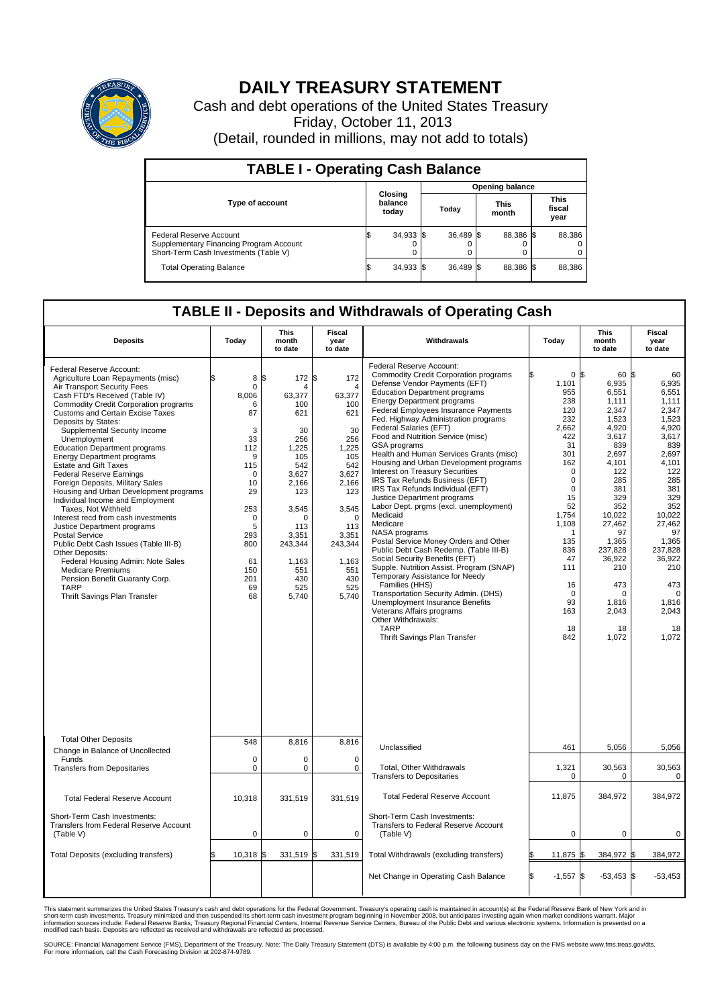

## **DAILY TREASURY STATEMENT**

Cash and debt operations of the United States Treasury Friday, October 11, 2013 (Detail, rounded in millions, may not add to totals)

| <b>TABLE I - Operating Cash Balance</b>                                                                     |                             |             |  |                        |  |                      |  |                               |  |  |  |
|-------------------------------------------------------------------------------------------------------------|-----------------------------|-------------|--|------------------------|--|----------------------|--|-------------------------------|--|--|--|
|                                                                                                             | Closing<br>balance<br>today |             |  | <b>Opening balance</b> |  |                      |  |                               |  |  |  |
| <b>Type of account</b>                                                                                      |                             |             |  | Today                  |  | <b>This</b><br>month |  | <b>This</b><br>fiscal<br>year |  |  |  |
| Federal Reserve Account<br>Supplementary Financing Program Account<br>Short-Term Cash Investments (Table V) |                             | $34,933$ \$ |  | 36,489 \$              |  | 88,386 \$            |  | 88,386                        |  |  |  |
| <b>Total Operating Balance</b>                                                                              |                             | $34,933$ \$ |  | 36,489 \$              |  | 88,386 \$            |  | 88,386                        |  |  |  |

## **TABLE II - Deposits and Withdrawals of Operating Cash**

| <b>Deposits</b>                                                                                                                                                                                                                                                                                                                                                                                                                                                                                                                                                                                                                                                                                                                                                                                                                                                                                         | Today                                                                                                                                                                  | <b>This</b><br>month<br>to date                                                                                                                                                                | <b>Fiscal</b><br>year<br>to date                                                                                                                                                                              | Withdrawals                                                                                                                                                                                                                                                                                                                                                                                                                                                                                                                                                                                                                                                                                                                                                                                                                                                                                                                                                                                                                                                                    | Today                                                                                                                                                                                                                                   | <b>This</b><br>month<br>to date                                                                                                                                                                                                                     | <b>Fiscal</b><br>year<br>to date                                                                                                                                                                                                                 |
|---------------------------------------------------------------------------------------------------------------------------------------------------------------------------------------------------------------------------------------------------------------------------------------------------------------------------------------------------------------------------------------------------------------------------------------------------------------------------------------------------------------------------------------------------------------------------------------------------------------------------------------------------------------------------------------------------------------------------------------------------------------------------------------------------------------------------------------------------------------------------------------------------------|------------------------------------------------------------------------------------------------------------------------------------------------------------------------|------------------------------------------------------------------------------------------------------------------------------------------------------------------------------------------------|---------------------------------------------------------------------------------------------------------------------------------------------------------------------------------------------------------------|--------------------------------------------------------------------------------------------------------------------------------------------------------------------------------------------------------------------------------------------------------------------------------------------------------------------------------------------------------------------------------------------------------------------------------------------------------------------------------------------------------------------------------------------------------------------------------------------------------------------------------------------------------------------------------------------------------------------------------------------------------------------------------------------------------------------------------------------------------------------------------------------------------------------------------------------------------------------------------------------------------------------------------------------------------------------------------|-----------------------------------------------------------------------------------------------------------------------------------------------------------------------------------------------------------------------------------------|-----------------------------------------------------------------------------------------------------------------------------------------------------------------------------------------------------------------------------------------------------|--------------------------------------------------------------------------------------------------------------------------------------------------------------------------------------------------------------------------------------------------|
| Federal Reserve Account:<br>Agriculture Loan Repayments (misc)<br>Air Transport Security Fees<br>Cash FTD's Received (Table IV)<br><b>Commodity Credit Corporation programs</b><br><b>Customs and Certain Excise Taxes</b><br>Deposits by States:<br>Supplemental Security Income<br>Unemployment<br><b>Education Department programs</b><br><b>Energy Department programs</b><br><b>Estate and Gift Taxes</b><br><b>Federal Reserve Earnings</b><br>Foreign Deposits, Military Sales<br>Housing and Urban Development programs<br>Individual Income and Employment<br>Taxes, Not Withheld<br>Interest recd from cash investments<br>Justice Department programs<br><b>Postal Service</b><br>Public Debt Cash Issues (Table III-B)<br>Other Deposits:<br>Federal Housing Admin: Note Sales<br><b>Medicare Premiums</b><br>Pension Benefit Guaranty Corp.<br><b>TARP</b><br>Thrift Savings Plan Transfer | 8<br>$\mathbf 0$<br>8,006<br>6<br>87<br>3<br>33<br>112<br>9<br>115<br>$\mathbf 0$<br>10<br>29<br>253<br>$\mathbf 0$<br>5<br>293<br>800<br>61<br>150<br>201<br>69<br>68 | l\$<br>172 \$<br>$\Delta$<br>63,377<br>100<br>621<br>30<br>256<br>1.225<br>105<br>542<br>3.627<br>2,166<br>123<br>3,545<br>O<br>113<br>3,351<br>243,344<br>1,163<br>551<br>430<br>525<br>5,740 | 172<br>$\overline{\mathbf{A}}$<br>63,377<br>100<br>621<br>30<br>256<br>1.225<br>105<br>542<br>3.627<br>2,166<br>123<br>3,545<br>$\mathbf 0$<br>113<br>3,351<br>243,344<br>1,163<br>551<br>430<br>525<br>5,740 | Federal Reserve Account:<br><b>Commodity Credit Corporation programs</b><br>Defense Vendor Payments (EFT)<br><b>Education Department programs</b><br><b>Energy Department programs</b><br>Federal Employees Insurance Payments<br>Fed. Highway Administration programs<br>Federal Salaries (EFT)<br>Food and Nutrition Service (misc)<br><b>GSA</b> programs<br>Health and Human Services Grants (misc)<br>Housing and Urban Development programs<br>Interest on Treasury Securities<br>IRS Tax Refunds Business (EFT)<br>IRS Tax Refunds Individual (EFT)<br>Justice Department programs<br>Labor Dept. prgms (excl. unemployment)<br>Medicaid<br>Medicare<br>NASA programs<br>Postal Service Money Orders and Other<br>Public Debt Cash Redemp. (Table III-B)<br>Social Security Benefits (EFT)<br>Supple. Nutrition Assist. Program (SNAP)<br>Temporary Assistance for Needy<br>Families (HHS)<br>Transportation Security Admin. (DHS)<br>Unemployment Insurance Benefits<br>Veterans Affairs programs<br>Other Withdrawals:<br><b>TARP</b><br>Thrift Savings Plan Transfer | 0 <sup>5</sup><br>1,101<br>955<br>238<br>120<br>232<br>2.662<br>422<br>31<br>301<br>162<br>$\mathbf 0$<br>$\mathbf 0$<br>$\mathbf 0$<br>15<br>52<br>1,754<br>1,108<br>1<br>135<br>836<br>47<br>111<br>16<br>0<br>93<br>163<br>18<br>842 | 60 \$<br>6,935<br>6,551<br>1,111<br>2,347<br>1,523<br>4.920<br>3,617<br>839<br>2,697<br>4,101<br>122<br>285<br>381<br>329<br>352<br>10,022<br>27,462<br>97<br>1,365<br>237,828<br>36,922<br>210<br>473<br>$\Omega$<br>1,816<br>2,043<br>18<br>1,072 | 60<br>6,935<br>6,551<br>1.111<br>2,347<br>1,523<br>4.920<br>3,617<br>839<br>2,697<br>4,101<br>122<br>285<br>381<br>329<br>352<br>10,022<br>27,462<br>97<br>1,365<br>237,828<br>36,922<br>210<br>473<br>$\Omega$<br>1,816<br>2,043<br>18<br>1,072 |
| <b>Total Other Deposits</b>                                                                                                                                                                                                                                                                                                                                                                                                                                                                                                                                                                                                                                                                                                                                                                                                                                                                             | 548                                                                                                                                                                    | 8,816                                                                                                                                                                                          | 8,816                                                                                                                                                                                                         | Unclassified                                                                                                                                                                                                                                                                                                                                                                                                                                                                                                                                                                                                                                                                                                                                                                                                                                                                                                                                                                                                                                                                   | 461                                                                                                                                                                                                                                     | 5,056                                                                                                                                                                                                                                               | 5,056                                                                                                                                                                                                                                            |
| Change in Balance of Uncollected<br>Funds                                                                                                                                                                                                                                                                                                                                                                                                                                                                                                                                                                                                                                                                                                                                                                                                                                                               | $\mathbf 0$                                                                                                                                                            | $\Omega$                                                                                                                                                                                       | $\Omega$                                                                                                                                                                                                      |                                                                                                                                                                                                                                                                                                                                                                                                                                                                                                                                                                                                                                                                                                                                                                                                                                                                                                                                                                                                                                                                                |                                                                                                                                                                                                                                         |                                                                                                                                                                                                                                                     |                                                                                                                                                                                                                                                  |
| <b>Transfers from Depositaries</b>                                                                                                                                                                                                                                                                                                                                                                                                                                                                                                                                                                                                                                                                                                                                                                                                                                                                      | $\mathbf 0$                                                                                                                                                            | 0                                                                                                                                                                                              | $\mathbf 0$                                                                                                                                                                                                   | Total, Other Withdrawals<br><b>Transfers to Depositaries</b>                                                                                                                                                                                                                                                                                                                                                                                                                                                                                                                                                                                                                                                                                                                                                                                                                                                                                                                                                                                                                   | 1,321<br>$\mathbf 0$                                                                                                                                                                                                                    | 30,563<br>0                                                                                                                                                                                                                                         | 30,563<br>$\mathbf 0$                                                                                                                                                                                                                            |
| <b>Total Federal Reserve Account</b>                                                                                                                                                                                                                                                                                                                                                                                                                                                                                                                                                                                                                                                                                                                                                                                                                                                                    | 10,318                                                                                                                                                                 | 331,519                                                                                                                                                                                        | 331,519                                                                                                                                                                                                       | <b>Total Federal Reserve Account</b>                                                                                                                                                                                                                                                                                                                                                                                                                                                                                                                                                                                                                                                                                                                                                                                                                                                                                                                                                                                                                                           | 11,875                                                                                                                                                                                                                                  | 384,972                                                                                                                                                                                                                                             | 384,972                                                                                                                                                                                                                                          |
| Short-Term Cash Investments:<br>Transfers from Federal Reserve Account<br>(Table V)                                                                                                                                                                                                                                                                                                                                                                                                                                                                                                                                                                                                                                                                                                                                                                                                                     | $\pmb{0}$                                                                                                                                                              | 0                                                                                                                                                                                              | 0                                                                                                                                                                                                             | Short-Term Cash Investments:<br>Transfers to Federal Reserve Account<br>(Table V)                                                                                                                                                                                                                                                                                                                                                                                                                                                                                                                                                                                                                                                                                                                                                                                                                                                                                                                                                                                              | $\mathbf 0$                                                                                                                                                                                                                             | 0                                                                                                                                                                                                                                                   | 0                                                                                                                                                                                                                                                |
| Total Deposits (excluding transfers)                                                                                                                                                                                                                                                                                                                                                                                                                                                                                                                                                                                                                                                                                                                                                                                                                                                                    | 10,318                                                                                                                                                                 | 331,519<br>\$                                                                                                                                                                                  | \$<br>331,519                                                                                                                                                                                                 | Total Withdrawals (excluding transfers)                                                                                                                                                                                                                                                                                                                                                                                                                                                                                                                                                                                                                                                                                                                                                                                                                                                                                                                                                                                                                                        | 11,875 \$<br>l\$                                                                                                                                                                                                                        | 384,972 \$                                                                                                                                                                                                                                          | 384,972                                                                                                                                                                                                                                          |
|                                                                                                                                                                                                                                                                                                                                                                                                                                                                                                                                                                                                                                                                                                                                                                                                                                                                                                         |                                                                                                                                                                        |                                                                                                                                                                                                |                                                                                                                                                                                                               | Net Change in Operating Cash Balance                                                                                                                                                                                                                                                                                                                                                                                                                                                                                                                                                                                                                                                                                                                                                                                                                                                                                                                                                                                                                                           | Ŝ.<br>$-1,557$ \$                                                                                                                                                                                                                       | $-53,453$ \$                                                                                                                                                                                                                                        | $-53,453$                                                                                                                                                                                                                                        |

This statement summarizes the United States Treasury's cash and debt operations for the Federal Government. Treasury's operating cash is maintained in account(s) at the Federal Reserve Bank of New York and in<br>short-term ca

SOURCE: Financial Management Service (FMS), Department of the Treasury. Note: The Daily Treasury Statement (DTS) is available by 4:00 p.m. the following business day on the FMS website www.fms.treas.gov/dts.<br>For more infor